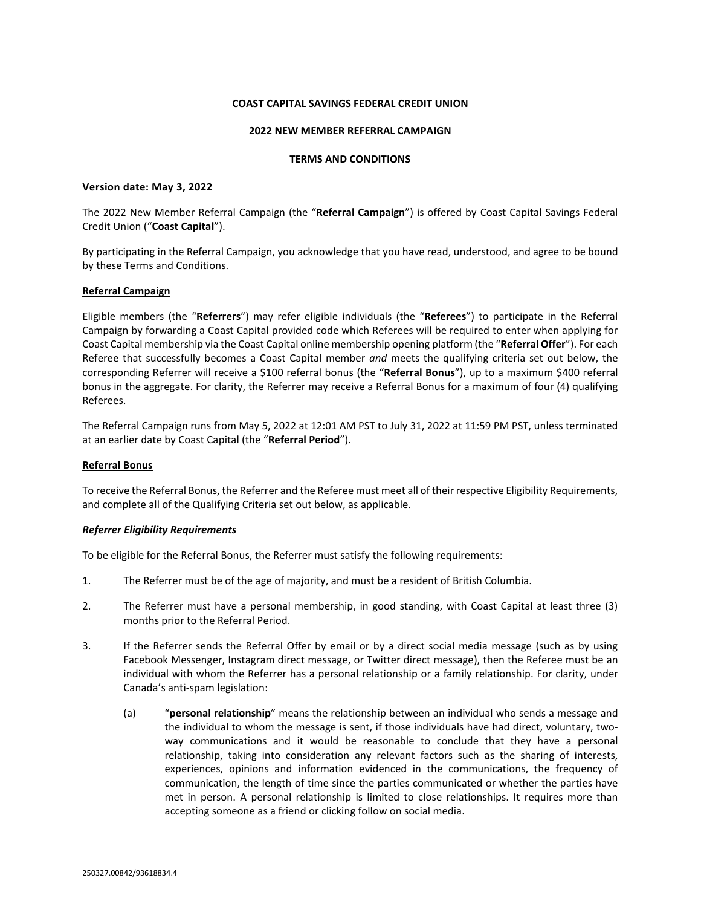### **COAST CAPITAL SAVINGS FEDERAL CREDIT UNION**

### **2022 NEW MEMBER REFERRAL CAMPAIGN**

### **TERMS AND CONDITIONS**

### **Version date: May 3, 2022**

The 2022 New Member Referral Campaign (the "**Referral Campaign**") is offered by Coast Capital Savings Federal Credit Union ("**Coast Capital**").

By participating in the Referral Campaign, you acknowledge that you have read, understood, and agree to be bound by these Terms and Conditions.

### **Referral Campaign**

Eligible members (the "**Referrers**") may refer eligible individuals (the "**Referees**") to participate in the Referral Campaign by forwarding a Coast Capital provided code which Referees will be required to enter when applying for Coast Capital membership via the Coast Capital online membership opening platform (the "**Referral Offer**"). For each Referee that successfully becomes a Coast Capital member *and* meets the qualifying criteria set out below, the corresponding Referrer will receive a \$100 referral bonus (the "**Referral Bonus**"), up to a maximum \$400 referral bonus in the aggregate. For clarity, the Referrer may receive a Referral Bonus for a maximum of four (4) qualifying Referees.

The Referral Campaign runs from May 5, 2022 at 12:01 AM PST to July 31, 2022 at 11:59 PM PST, unless terminated at an earlier date by Coast Capital (the "**Referral Period**").

### **Referral Bonus**

To receive the Referral Bonus, the Referrer and the Referee must meet all of their respective Eligibility Requirements, and complete all of the Qualifying Criteria set out below, as applicable.

#### *Referrer Eligibility Requirements*

To be eligible for the Referral Bonus, the Referrer must satisfy the following requirements:

- 1. The Referrer must be of the age of majority, and must be a resident of British Columbia.
- 2. The Referrer must have a personal membership, in good standing, with Coast Capital at least three (3) months prior to the Referral Period.
- 3. If the Referrer sends the Referral Offer by email or by a direct social media message (such as by using Facebook Messenger, Instagram direct message, or Twitter direct message), then the Referee must be an individual with whom the Referrer has a personal relationship or a family relationship. For clarity, under Canada's anti-spam legislation:
	- (a) "**personal relationship**" means the relationship between an individual who sends a message and the individual to whom the message is sent, if those individuals have had direct, voluntary, twoway communications and it would be reasonable to conclude that they have a personal relationship, taking into consideration any relevant factors such as the sharing of interests, experiences, opinions and information evidenced in the communications, the frequency of communication, the length of time since the parties communicated or whether the parties have met in person. A personal relationship is limited to close relationships. It requires more than accepting someone as a friend or clicking follow on social media.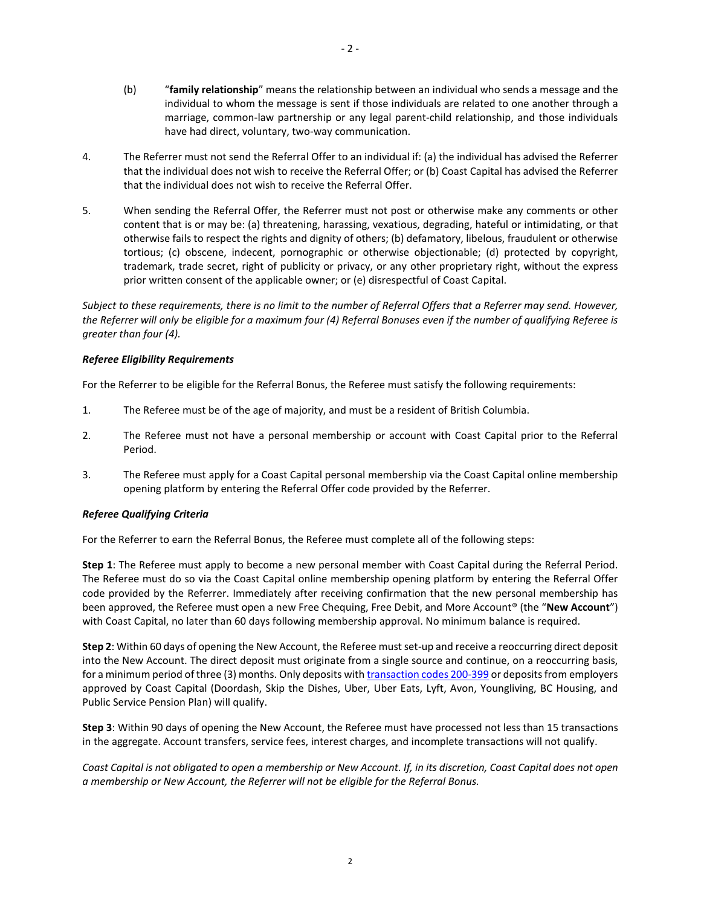- (b) "**family relationship**" means the relationship between an individual who sends a message and the individual to whom the message is sent if those individuals are related to one another through a marriage, common-law partnership or any legal parent-child relationship, and those individuals have had direct, voluntary, two-way communication.
- 4. The Referrer must not send the Referral Offer to an individual if: (a) the individual has advised the Referrer that the individual does not wish to receive the Referral Offer; or (b) Coast Capital has advised the Referrer that the individual does not wish to receive the Referral Offer.
- 5. When sending the Referral Offer, the Referrer must not post or otherwise make any comments or other content that is or may be: (a) threatening, harassing, vexatious, degrading, hateful or intimidating, or that otherwise fails to respect the rights and dignity of others; (b) defamatory, libelous, fraudulent or otherwise tortious; (c) obscene, indecent, pornographic or otherwise objectionable; (d) protected by copyright, trademark, trade secret, right of publicity or privacy, or any other proprietary right, without the express prior written consent of the applicable owner; or (e) disrespectful of Coast Capital.

*Subject to these requirements, there is no limit to the number of Referral Offers that a Referrer may send. However, the Referrer will only be eligible for a maximum four (4) Referral Bonuses even if the number of qualifying Referee is greater than four (4).* 

# *Referee Eligibility Requirements*

For the Referrer to be eligible for the Referral Bonus, the Referee must satisfy the following requirements:

- 1. The Referee must be of the age of majority, and must be a resident of British Columbia.
- 2. The Referee must not have a personal membership or account with Coast Capital prior to the Referral Period.
- 3. The Referee must apply for a Coast Capital personal membership via the Coast Capital online membership opening platform by entering the Referral Offer code provided by the Referrer.

# *Referee Qualifying Criteria*

For the Referrer to earn the Referral Bonus, the Referee must complete all of the following steps:

**Step 1**: The Referee must apply to become a new personal member with Coast Capital during the Referral Period. The Referee must do so via the Coast Capital online membership opening platform by entering the Referral Offer code provided by the Referrer. Immediately after receiving confirmation that the new personal membership has been approved, the Referee must open a new Free Chequing, Free Debit, and More Account® (the "**New Account**") with Coast Capital, no later than 60 days following membership approval. No minimum balance is required.

**Step 2**: Within 60 days of opening the New Account, the Referee must set-up and receive a reoccurring direct deposit into the New Account. The direct deposit must originate from a single source and continue, on a reoccurring basis, for a minimum period of three (3) months. Only deposits wit[h transaction codes 200-399](https://www.payments.ca/sites/default/files/standard007eng.pdf) or deposits from employers approved by Coast Capital (Doordash, Skip the Dishes, Uber, Uber Eats, Lyft, Avon, Youngliving, BC Housing, and Public Service Pension Plan) will qualify.

**Step 3**: Within 90 days of opening the New Account, the Referee must have processed not less than 15 transactions in the aggregate. Account transfers, service fees, interest charges, and incomplete transactions will not qualify.

*Coast Capital is not obligated to open a membership or New Account. If, in its discretion, Coast Capital does not open a membership or New Account, the Referrer will not be eligible for the Referral Bonus.*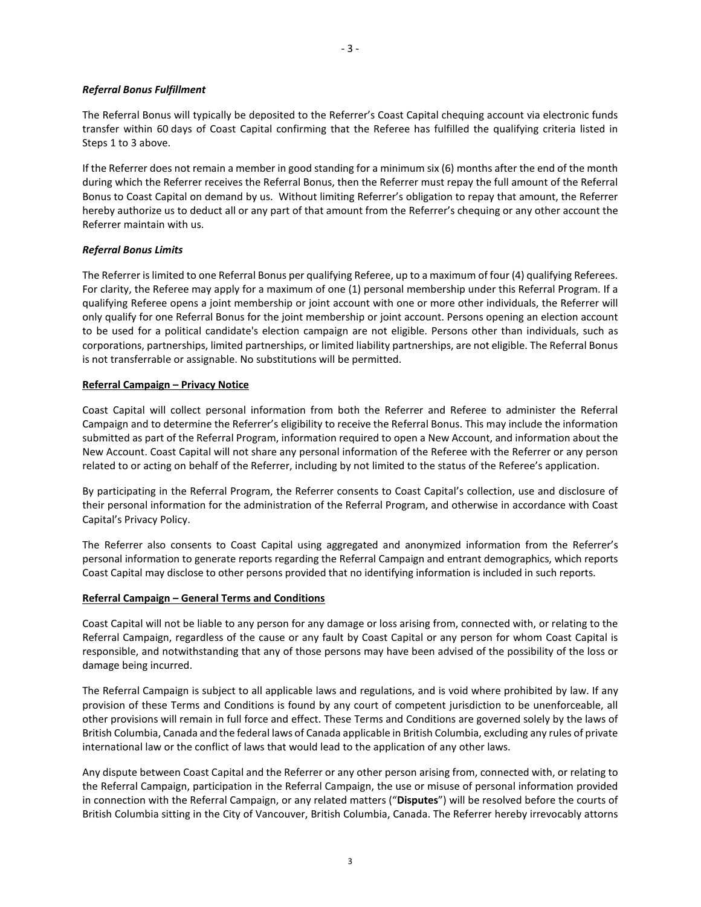### *Referral Bonus Fulfillment*

The Referral Bonus will typically be deposited to the Referrer's Coast Capital chequing account via electronic funds transfer within 60 days of Coast Capital confirming that the Referee has fulfilled the qualifying criteria listed in Steps 1 to 3 above.

If the Referrer does not remain a member in good standing for a minimum six (6) months after the end of the month during which the Referrer receives the Referral Bonus, then the Referrer must repay the full amount of the Referral Bonus to Coast Capital on demand by us. Without limiting Referrer's obligation to repay that amount, the Referrer hereby authorize us to deduct all or any part of that amount from the Referrer's chequing or any other account the Referrer maintain with us.

# *Referral Bonus Limits*

The Referrer is limited to one Referral Bonus per qualifying Referee, up to a maximum of four (4) qualifying Referees. For clarity, the Referee may apply for a maximum of one (1) personal membership under this Referral Program. If a qualifying Referee opens a joint membership or joint account with one or more other individuals, the Referrer will only qualify for one Referral Bonus for the joint membership or joint account. Persons opening an election account to be used for a political candidate's election campaign are not eligible. Persons other than individuals, such as corporations, partnerships, limited partnerships, or limited liability partnerships, are not eligible. The Referral Bonus is not transferrable or assignable. No substitutions will be permitted.

# **Referral Campaign – Privacy Notice**

Coast Capital will collect personal information from both the Referrer and Referee to administer the Referral Campaign and to determine the Referrer's eligibility to receive the Referral Bonus. This may include the information submitted as part of the Referral Program, information required to open a New Account, and information about the New Account. Coast Capital will not share any personal information of the Referee with the Referrer or any person related to or acting on behalf of the Referrer, including by not limited to the status of the Referee's application.

By participating in the Referral Program, the Referrer consents to Coast Capital's collection, use and disclosure of their personal information for the administration of the Referral Program, and otherwise in accordance with Coast Capital's Privacy Policy.

The Referrer also consents to Coast Capital using aggregated and anonymized information from the Referrer's personal information to generate reports regarding the Referral Campaign and entrant demographics, which reports Coast Capital may disclose to other persons provided that no identifying information is included in such reports.

### **Referral Campaign – General Terms and Conditions**

Coast Capital will not be liable to any person for any damage or loss arising from, connected with, or relating to the Referral Campaign, regardless of the cause or any fault by Coast Capital or any person for whom Coast Capital is responsible, and notwithstanding that any of those persons may have been advised of the possibility of the loss or damage being incurred.

The Referral Campaign is subject to all applicable laws and regulations, and is void where prohibited by law. If any provision of these Terms and Conditions is found by any court of competent jurisdiction to be unenforceable, all other provisions will remain in full force and effect. These Terms and Conditions are governed solely by the laws of British Columbia, Canada and the federal laws of Canada applicable in British Columbia, excluding any rules of private international law or the conflict of laws that would lead to the application of any other laws.

Any dispute between Coast Capital and the Referrer or any other person arising from, connected with, or relating to the Referral Campaign, participation in the Referral Campaign, the use or misuse of personal information provided in connection with the Referral Campaign, or any related matters ("**Disputes**") will be resolved before the courts of British Columbia sitting in the City of Vancouver, British Columbia, Canada. The Referrer hereby irrevocably attorns